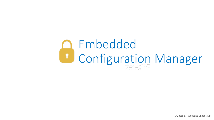#### Embedded Configuration ontigur Embedded Configuration Manager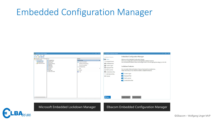#### Embedded Configuration Manager





Microsoft Embedded Lockdown Manager | Elbacom Embedded Configuration Manager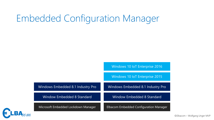# Embedded Configuration Manager

Windows 10 IoT Enterprise 2016

Windows 10 IoT Enterprise 2015

| Windows Embedded 8.1 Industry Pro   | Windows Embedded 8.1 Industry Pro      |
|-------------------------------------|----------------------------------------|
| Window Embedded 8 Standard          | Window Embedded 8 Standard             |
| Microsoft Embedded Lockdown Manager | Elbacom Embedded Configuration Manager |

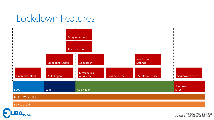## Lockdown Features



#### Unified Write Filter

Device Guard

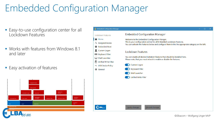# Embedded Configuration Manager

- **Easy-to-use configuration center for all** Lockdown Features
- **Works with features from Windows 8.1** and later
- **Easy activation of features**



| <b>B</b> Embedded Configuration Manager                                   | $\Box$                                                                                                                                                                                                                         |
|---------------------------------------------------------------------------|--------------------------------------------------------------------------------------------------------------------------------------------------------------------------------------------------------------------------------|
| Lockdown Features                                                         | <b>Embedded Configuration Manager</b>                                                                                                                                                                                          |
| Home <sup>1</sup><br>A Assigned Access<br><b>Embedded Boot</b><br>$\circ$ | Welcome to the Embedded Configuration Manger.<br>This is your configuration central for all Embedded Lockdown Features.<br>You can activate the features below and configure them in the the appropriate category on the left. |
| <b>Custom Logon</b><br>x.<br>Keyboard Filter<br>垩                         | Lockdown Features                                                                                                                                                                                                              |
| Shell Launcher<br><b>Unified Write Filter</b><br>G1                       | You can enable all desired lockdown features that should be installed here.<br>Please note, that you must reboot to enable or disable the features.                                                                            |
| G USB Device Policy                                                       | Custom Logon                                                                                                                                                                                                                   |
| <b>☆</b> General                                                          | Keyboard Filter                                                                                                                                                                                                                |
|                                                                           | Shell Launcher                                                                                                                                                                                                                 |
|                                                                           | Unified Write Filter                                                                                                                                                                                                           |
|                                                                           |                                                                                                                                                                                                                                |
|                                                                           |                                                                                                                                                                                                                                |
|                                                                           | Discard changes<br>Apply changes                                                                                                                                                                                               |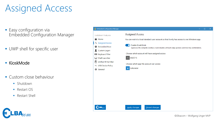# Assigned Access

- **Easy configuration via** Embedded Configuration Manager
- UWP shell for specific user
- **KioskMode**
- **Custom close behaviour** 
	- **Shutdown**
	- Restart OS
	- Restart Shell

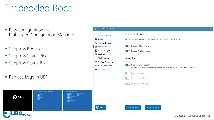# Embedded Boot

**Easy configuration via** Embedded Configuration Manager

Choose an operating system

- **Suppress Bootlogo**
- **Suppress Status Ring**
- **Suppress Status Text**
- **Replace Logo in UEFI**

 $\boldsymbol{\epsilon}$ lba $_{\!cm}$ 

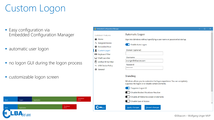# Custom Logon

- **Easy configuration via** Embedded Configuration Manager
- automatic user logon
- no logon GUI during the logon process

Shutdown Error

Shutdown Error

customizable logon screen

Boot **Logon Logon Application** 

Application

| <b>C</b> Embedded Configuration Manager                                                                                                                                                                                                          |                                                                                                                                                                                                                                                                                                                                                                                                                   | $\Box$ | × |
|--------------------------------------------------------------------------------------------------------------------------------------------------------------------------------------------------------------------------------------------------|-------------------------------------------------------------------------------------------------------------------------------------------------------------------------------------------------------------------------------------------------------------------------------------------------------------------------------------------------------------------------------------------------------------------|--------|---|
| <b>Lockdown Features</b><br>← Home<br>A Assigned Access<br><b>Embedded Boot</b><br>$\bullet$<br><b>Custom Logon</b><br><b>图 Keyboard Filter</b><br>Shell Launcher<br><b>Unified Write Filter</b><br>6<br>← USB Device Policy<br><b>☆</b> General | Automatic Logon<br>Sign into Windows without specifying a user name or password at startup.<br>C Enable Auto Logon<br>Domain (optional)<br>Username<br>w.unger@elbacom.com<br>Password<br>********<br><b>Branding</b><br>Windows allows you to customize the logon experience. You can completely<br>suppress the logon UI or disable certain elements.<br>Suppress Logon UI<br>Disable Blocked Shutdown Resolver |        |   |
|                                                                                                                                                                                                                                                  | Disable all Welcome screen UI elements<br><b>Disable Ease of Access</b><br>Discard changes<br>Apply changes                                                                                                                                                                                                                                                                                                       |        | ٧ |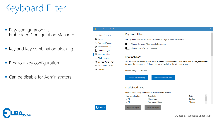# Keyboard Filter

- **Easy configuration via** Embedded Configuration Manager
- Key and Key combination blocking
- **Breakout key configuration**
- **Can be disable for Administrators**

| <b>Embedded Configuration Manager</b> |                                         |                                                                                                       |                | □ | × |
|---------------------------------------|-----------------------------------------|-------------------------------------------------------------------------------------------------------|----------------|---|---|
| <b>Lockdown Features</b>              | Keyboard Filter                         |                                                                                                       |                |   |   |
| <b>← Home</b>                         |                                         | The keyboard filter allows you to block certain keys or key combinations.                             |                |   |   |
| P <sub>®</sub> Assigned Access        |                                         | Disable Keyboard Filter for Administrators                                                            |                |   |   |
| <b>S</b> Embedded Boot                |                                         | Disable Ease of Access Features                                                                       |                |   |   |
| <b>Q</b> Custom Logon                 |                                         |                                                                                                       |                |   |   |
| <b>图 Keyboard Filter</b>              |                                         |                                                                                                       |                |   |   |
| Shell Launcher                        | <b>Breakout Key</b>                     |                                                                                                       |                |   |   |
| Unified Write Filter                  |                                         | The breakout key allows user to break out of an account that is locked down with the Keyboard Filter. |                |   |   |
| ← USB Device Policy                   |                                         | Pressing the breakout key 5 times in a row will switch to the Welcome screen.                         |                |   |   |
| <b>D</b> General                      | <b>Breakout Key:</b><br><b>Disabled</b> |                                                                                                       |                |   |   |
|                                       | Change breakout key                     | Disable breakout key                                                                                  |                |   |   |
|                                       | <b>Predefined Keys</b>                  | Please check all key combination that should be allowed.                                              |                |   |   |
|                                       | Key combination                         | Description                                                                                           | <b>State</b>   |   |   |
|                                       | $\Box$ Alt                              | All Alt Keys                                                                                          | <b>Blocked</b> |   |   |
|                                       | $\boxtimes$ Alt+F4                      | <b>Application Close</b>                                                                              | Allowed        |   |   |
| $LBA_{22}$                            | Apply changes                           | Discard changes                                                                                       |                |   |   |

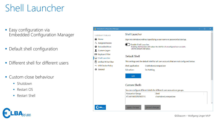# Shell Launcher

- **Easy configuration via** Embedded Configuration Manager
- **Default shell configuration**
- **Different shell for different users**
- **Custom close behaviour** 
	- **Shutdown**
	- Restart OS
	- Restart Shell

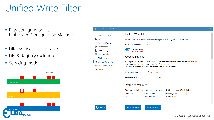# Unified Write Filter

- **Easy configuration via** Embedded Configuration Manager
- **Filter settings configurable**
- **File & Registry exclusions**
- **Servicing mode**



| <b>Embedded Configuration Manager</b> |                                            |                                                                                                                      |                                                                                        |  | $\Box$ | × |
|---------------------------------------|--------------------------------------------|----------------------------------------------------------------------------------------------------------------------|----------------------------------------------------------------------------------------|--|--------|---|
| Lockdown Features                     | <b>Unified Write Filter</b>                |                                                                                                                      |                                                                                        |  |        |   |
| <b>← Home</b>                         |                                            |                                                                                                                      | Protect your system from unwanted changes by enabling the Unified Write Filter.        |  |        |   |
| P <sub>®</sub> Assigned Access        | Current filter state:                      | <b>Disabled</b>                                                                                                      |                                                                                        |  |        |   |
| <b>S</b> Embedded Boot                |                                            |                                                                                                                      |                                                                                        |  |        |   |
| Custom Logon                          | <b>Enable filtering</b><br>Reboot required |                                                                                                                      |                                                                                        |  |        |   |
| <b>图 Keyboard Filter</b>              |                                            |                                                                                                                      |                                                                                        |  |        |   |
| Shell Launcher                        | <b>Overlay Settings</b>                    |                                                                                                                      |                                                                                        |  |        |   |
| Unified Write Filter                  |                                            |                                                                                                                      | Configure where Unified Write Filter should store the changes made during the runtime. |  |        |   |
| ← USB Device Policy                   |                                            | You can also change the maximum size of the overlay.<br>The overlay space will always be compressed to save storage! |                                                                                        |  |        |   |
| <b>D</b> General                      |                                            |                                                                                                                      |                                                                                        |  |        |   |
|                                       | ◉ RAM Overlay                              | $\circ$ Disk Overlay                                                                                                 |                                                                                        |  |        |   |
|                                       | Overlay size in MB:                        | 1024                                                                                                                 |                                                                                        |  |        |   |
|                                       | <b>Protected Volumes</b>                   |                                                                                                                      |                                                                                        |  |        |   |
|                                       |                                            |                                                                                                                      | You can specify the volumes that should be protected by the Unified Write Filter.      |  |        |   |
|                                       | Volume                                     | <b>Current State</b>                                                                                                 | Pending Restart                                                                        |  |        |   |
|                                       | C:                                         | Unprotected                                                                                                          | Unprotected                                                                            |  |        |   |
|                                       |                                            |                                                                                                                      |                                                                                        |  |        |   |
| $\blacksquare$ LBA                    | Apply changes                              | Discard changes                                                                                                      |                                                                                        |  |        |   |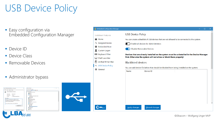# USB Device Policy

- **Easy configuration via** Embedded Configuration Manager
- **Device ID**
- **Device Class**
- Removable Devices
- **Administrator bypass**

|                                    | $\times$<br>Wilk GOODRAM 8GB USB Device Properties             | <b>Device Manager</b><br>$\Box$<br>$\overline{\phantom{a}}$<br>Eile Action View Help | $\times$ |
|------------------------------------|----------------------------------------------------------------|--------------------------------------------------------------------------------------|----------|
| General Dnyer Details Events       |                                                                | <b>※※ 同日日司甲ト×④</b>                                                                   |          |
|                                    | Wilk GOODRAM 85R USB Device                                    | - & ATLAXIWUS<br>4 Audio inputs and outputs<br>- 20 Retteries                        |          |
| Device type:                       | Other devices                                                  | > <i>C</i> } Bluetooth<br>> <b>III</b> Computer                                      |          |
| Marx facturer:                     | Unknown                                                        | v = Disk drives                                                                      |          |
| Location:                          | on USB Mass Storage Device                                     | SAMSUNG MZMTE250HMHP-000MV                                                           |          |
|                                    |                                                                | SDXC Card<br>> Eat Display adapters                                                  |          |
| Device status                      |                                                                | > <b>M</b> Firmware                                                                  |          |
|                                    | The drivers for this device are not installed. (Code 28)       | > pa Human Interface Devices                                                         |          |
|                                    |                                                                | > = IDE ATA/ATAPI controllers                                                        |          |
| Contact your system administrator. | The installation of this device is forbidden by system policy. | > <a> Imaging devices<br/><math>&gt; 10</math> Keyboards</a>                         |          |
|                                    |                                                                | <b>III</b> Mice and other pointing devices                                           |          |
|                                    |                                                                | $>$ $\Box$ Monitors                                                                  |          |
|                                    | To find a driver for this device, click Update Driver.         | > El Network adapters                                                                |          |
|                                    |                                                                | v By Other devices                                                                   |          |
|                                    | Update Driver                                                  | <b>P. MS-ARTP</b><br><b>P. MS-TCC</b>                                                |          |
|                                    |                                                                | P. Wilk GOODRAM 8GB USB Device                                                       |          |
|                                    |                                                                | <b>RX</b> Portable Devices                                                           |          |
|                                    |                                                                | > SR Print queues                                                                    |          |
|                                    |                                                                | $> 22$ Printers                                                                      |          |
|                                    |                                                                | $>$ $\Box$ Processors                                                                |          |
|                                    | OK<br>Cancel                                                   |                                                                                      |          |
|                                    |                                                                |                                                                                      |          |
|                                    | $B_{\mathcal{P}\hspace{-1pt}\mathit{com}}$                     |                                                                                      |          |
|                                    |                                                                |                                                                                      |          |
|                                    |                                                                |                                                                                      |          |

|  | Embedded Configuration Manager          |                                                                                                                                                                  |                                       |  |  | $\Box$ | × |  |
|--|-----------------------------------------|------------------------------------------------------------------------------------------------------------------------------------------------------------------|---------------------------------------|--|--|--------|---|--|
|  | <b>Lockdown Features</b>                | <b>USB Device Policy</b>                                                                                                                                         |                                       |  |  |        |   |  |
|  | <b>← Home</b>                           | You can create a blacklist of USB devices that are not allowed to be connected to the system.                                                                    |                                       |  |  |        |   |  |
|  | P <sub>B</sub> Assigned Access          |                                                                                                                                                                  | Enable all devices for Administrators |  |  |        |   |  |
|  | <b>Embedded Boot</b><br>$\circ$         | Disable Removable Devices                                                                                                                                        |                                       |  |  |        |   |  |
|  | <b>Custom Logon</b><br>1                |                                                                                                                                                                  |                                       |  |  |        |   |  |
|  | <b>图 Keyboard Filter</b>                | Devices that are already installed on the system must be uninstalled in the Device Manager<br>first. Otherwise the system will not allow or block them properly! |                                       |  |  |        |   |  |
|  | Shell Launcher<br>⊟                     |                                                                                                                                                                  |                                       |  |  |        |   |  |
|  | Unified Write Filter<br>б               | <b>Blacklisted devices</b>                                                                                                                                       |                                       |  |  |        |   |  |
|  | ← USB Device Policy<br><b>☆</b> General | You can add device IDs below that should be blocked from being installed on the system.                                                                          |                                       |  |  |        |   |  |
|  |                                         | Name                                                                                                                                                             | Device ID                             |  |  |        |   |  |
|  |                                         |                                                                                                                                                                  |                                       |  |  |        |   |  |
|  |                                         |                                                                                                                                                                  |                                       |  |  |        |   |  |
|  |                                         |                                                                                                                                                                  |                                       |  |  |        |   |  |
|  |                                         |                                                                                                                                                                  |                                       |  |  |        |   |  |
|  |                                         |                                                                                                                                                                  |                                       |  |  |        |   |  |
|  |                                         |                                                                                                                                                                  |                                       |  |  |        |   |  |
|  |                                         |                                                                                                                                                                  |                                       |  |  |        |   |  |
|  |                                         |                                                                                                                                                                  |                                       |  |  |        |   |  |
|  | $=$ LBA $_{\infty}$                     | Apply changes                                                                                                                                                    | Discard changes                       |  |  |        |   |  |
|  |                                         |                                                                                                                                                                  |                                       |  |  |        |   |  |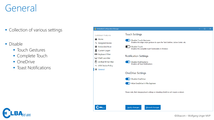## General

- **Collection of various settings**
- Disable
	- **Touch Gestures**
	- **Complete Touch**
	- OneDrive
	- **Toast Notifications**